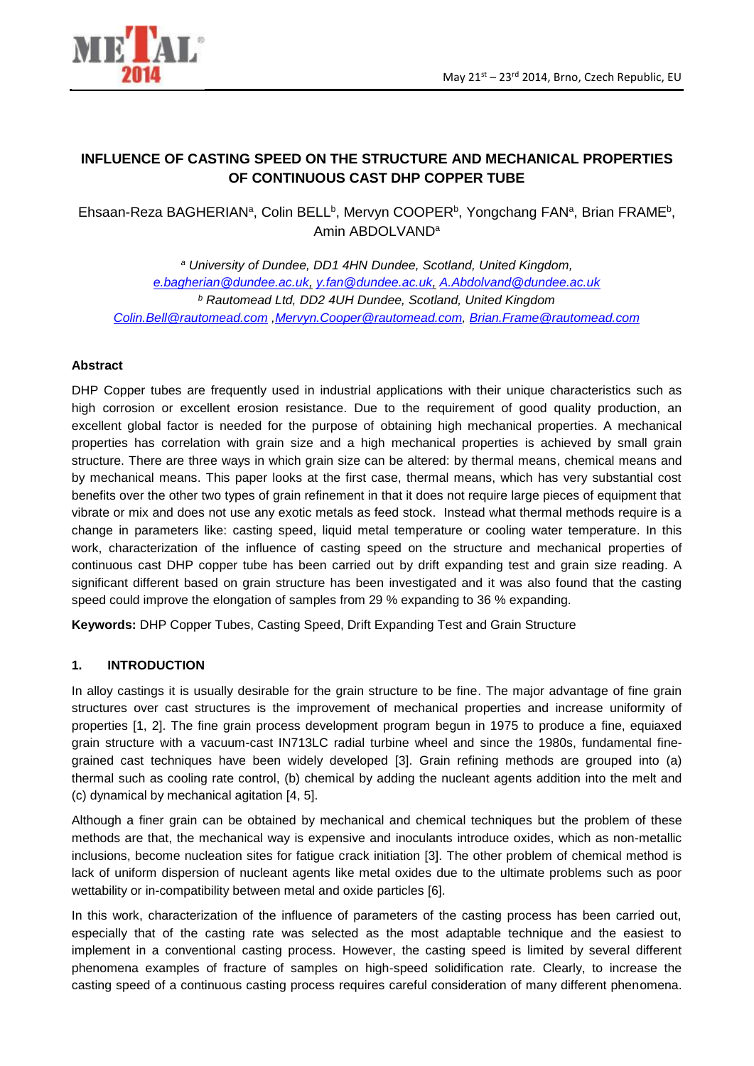

# **INFLUENCE OF CASTING SPEED ON THE STRUCTURE AND MECHANICAL PROPERTIES OF CONTINUOUS CAST DHP COPPER TUBE**

Ehsaan-Reza BAGHERIAN<sup>a</sup>, Colin BELL<sup>b</sup>, Mervyn COOPER<sup>b</sup>, Yongchang FAN<sup>a</sup>, Brian FRAME<sup>b</sup>, Amin ABDOLVAND<sup>a</sup>

*<sup>a</sup> University of Dundee, DD1 4HN Dundee, Scotland, United Kingdom, [e.bagherian@dundee.ac.uk,](mailto:e.bagherian@dundee.ac.uk) [y.fan@dundee.ac.uk,](mailto:y.fan@dundee.ac.uk) [A.Abdolvand@dundee.ac.uk](mailto:A.Abdolvand@dundee.ac.uk) <sup>b</sup> Rautomead Ltd, DD2 4UH Dundee, Scotland, United Kingdom [Colin.Bell@rautomead.com](mailto:Colin.Bell@rautomead.com) [,Mervyn.Cooper@rautomead.com,](mailto:Mervyn.Cooper@rautomead.com) [Brian.Frame@rautomead.com](mailto:Brian.Frame@rautomead.com)*

### **Abstract**

DHP Copper tubes are frequently used in industrial applications with their unique characteristics such as high corrosion or excellent erosion resistance. Due to the requirement of good quality production, an excellent global factor is needed for the purpose of obtaining high mechanical properties. A mechanical properties has correlation with grain size and a high mechanical properties is achieved by small grain structure. There are three ways in which grain size can be altered: by thermal means, chemical means and by mechanical means. This paper looks at the first case, thermal means, which has very substantial cost benefits over the other two types of grain refinement in that it does not require large pieces of equipment that vibrate or mix and does not use any exotic metals as feed stock. Instead what thermal methods require is a change in parameters like: casting speed, liquid metal temperature or cooling water temperature. In this work, characterization of the influence of casting speed on the structure and mechanical properties of continuous cast DHP copper tube has been carried out by drift expanding test and grain size reading. A significant different based on grain structure has been investigated and it was also found that the casting speed could improve the elongation of samples from 29 % expanding to 36 % expanding.

**Keywords:** DHP Copper Tubes, Casting Speed, Drift Expanding Test and Grain Structure

#### **1. INTRODUCTION**

In alloy castings it is usually desirable for the grain structure to be fine. The major advantage of fine grain structures over cast structures is the improvement of mechanical properties and increase uniformity of properties [1, 2]. The fine grain process development program begun in 1975 to produce a fine, equiaxed grain structure with a vacuum-cast IN713LC radial turbine wheel and since the 1980s, fundamental finegrained cast techniques have been widely developed [3]. Grain refining methods are grouped into (a) thermal such as cooling rate control, (b) chemical by adding the nucleant agents addition into the melt and (c) dynamical by mechanical agitation [4, 5].

Although a finer grain can be obtained by mechanical and chemical techniques but the problem of these methods are that, the mechanical way is expensive and inoculants introduce oxides, which as non-metallic inclusions, become nucleation sites for fatigue crack initiation [3]. The other problem of chemical method is lack of uniform dispersion of nucleant agents like metal oxides due to the ultimate problems such as poor wettability or in-compatibility between metal and oxide particles [6].

In this work, characterization of the influence of parameters of the casting process has been carried out, especially that of the casting rate was selected as the most adaptable technique and the easiest to implement in a conventional casting process. However, the casting speed is limited by several different phenomena examples of fracture of samples on high-speed solidification rate. Clearly, to increase the casting speed of a continuous casting process requires careful consideration of many different phenomena.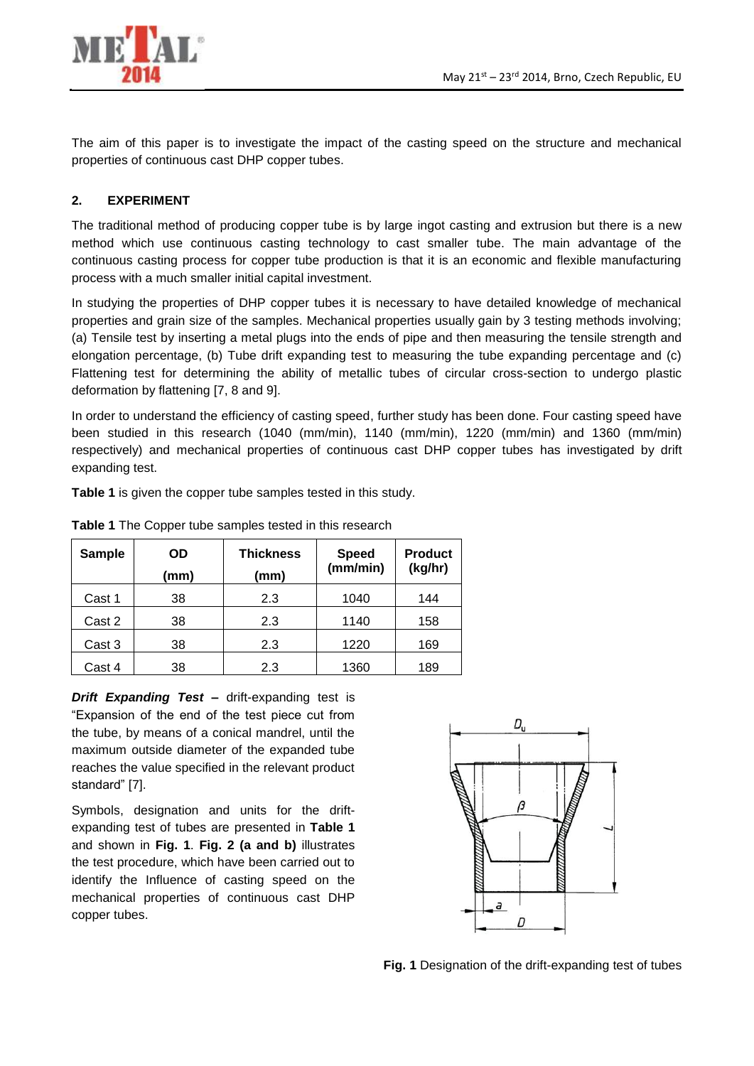

The aim of this paper is to investigate the impact of the casting speed on the structure and mechanical properties of continuous cast DHP copper tubes.

## **2. EXPERIMENT**

The traditional method of producing copper tube is by large ingot casting and extrusion but there is a new method which use continuous casting technology to cast smaller tube. The main advantage of the continuous casting process for copper tube production is that it is an economic and flexible manufacturing process with a much smaller initial capital investment.

In studying the properties of DHP copper tubes it is necessary to have detailed knowledge of mechanical properties and grain size of the samples. Mechanical properties usually gain by 3 testing methods involving; (a) Tensile test by inserting a metal plugs into the ends of pipe and then measuring the tensile strength and elongation percentage, (b) Tube drift expanding test to measuring the tube expanding percentage and (c) Flattening test for determining the ability of metallic tubes of circular cross-section to undergo plastic deformation by flattening [7, 8 and 9].

In order to understand the efficiency of casting speed, further study has been done. Four casting speed have been studied in this research (1040 (mm/min), 1140 (mm/min), 1220 (mm/min) and 1360 (mm/min) respectively) and mechanical properties of continuous cast DHP copper tubes has investigated by drift expanding test.

**Table 1** is given the copper tube samples tested in this study.

| <b>Sample</b> | OD<br>(mm) | <b>Thickness</b><br>(mm) | <b>Speed</b><br>(mm/min) | <b>Product</b><br>(kg/hr) |
|---------------|------------|--------------------------|--------------------------|---------------------------|
| Cast 1        | 38         | 2.3                      | 1040                     | 144                       |
| Cast 2        | 38         | 2.3                      | 1140                     | 158                       |
| Cast 3        | 38         | 2.3                      | 1220                     | 169                       |
| Cast 4        | 38         | 2.3                      | 1360                     | 189                       |

**Table 1** The Copper tube samples tested in this research

*Drift Expanding Test –* drift-expanding test is "Expansion of the end of the test piece cut from the tube, by means of a conical mandrel, until the maximum outside diameter of the expanded tube reaches the value specified in the relevant product standard" [7].

Symbols, designation and units for the driftexpanding test of tubes are presented in **Table 1** and shown in **Fig. 1**. **Fig. 2 (a and b)** illustrates the test procedure, which have been carried out to identify the Influence of casting speed on the mechanical properties of continuous cast DHP copper tubes.



**Fig. 1** Designation of the drift-expanding test of tubes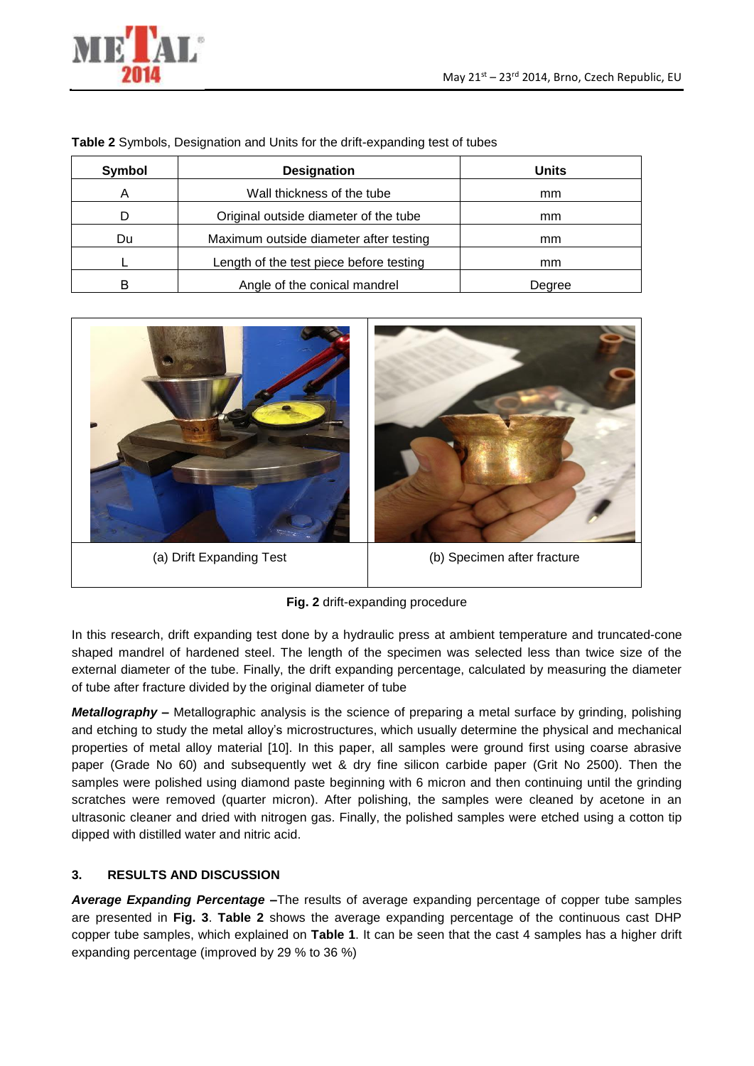

| Symbol | <b>Designation</b>                      | <b>Units</b> |
|--------|-----------------------------------------|--------------|
| Α      | Wall thickness of the tube              | mm           |
|        | Original outside diameter of the tube   | mm           |
| Du     | Maximum outside diameter after testing  | mm           |
|        | Length of the test piece before testing | mm           |
| R      | Angle of the conical mandrel            | Degree       |

**Table 2** Symbols, Designation and Units for the drift-expanding test of tubes



**Fig. 2** drift-expanding procedure

In this research, drift expanding test done by a hydraulic press at ambient temperature and truncated-cone shaped mandrel of hardened steel. The length of the specimen was selected less than twice size of the external diameter of the tube. Finally, the drift expanding percentage, calculated by measuring the diameter of tube after fracture divided by the original diameter of tube

*Metallography –* Metallographic analysis is the science of preparing a metal surface by grinding, polishing and etching to study the metal alloy's microstructures, which usually determine the physical and mechanical properties of metal alloy material [10]. In this paper, all samples were ground first using coarse abrasive paper (Grade No 60) and subsequently wet & dry fine silicon carbide paper (Grit No 2500). Then the samples were polished using diamond paste beginning with 6 micron and then continuing until the grinding scratches were removed (quarter micron). After polishing, the samples were cleaned by acetone in an ultrasonic cleaner and dried with nitrogen gas. Finally, the polished samples were etched using a cotton tip dipped with distilled water and nitric acid.

## **3. RESULTS AND DISCUSSION**

*Average Expanding Percentage –*The results of average expanding percentage of copper tube samples are presented in **Fig. 3**. **Table 2** shows the average expanding percentage of the continuous cast DHP copper tube samples, which explained on **Table 1**. It can be seen that the cast 4 samples has a higher drift expanding percentage (improved by 29 % to 36 %)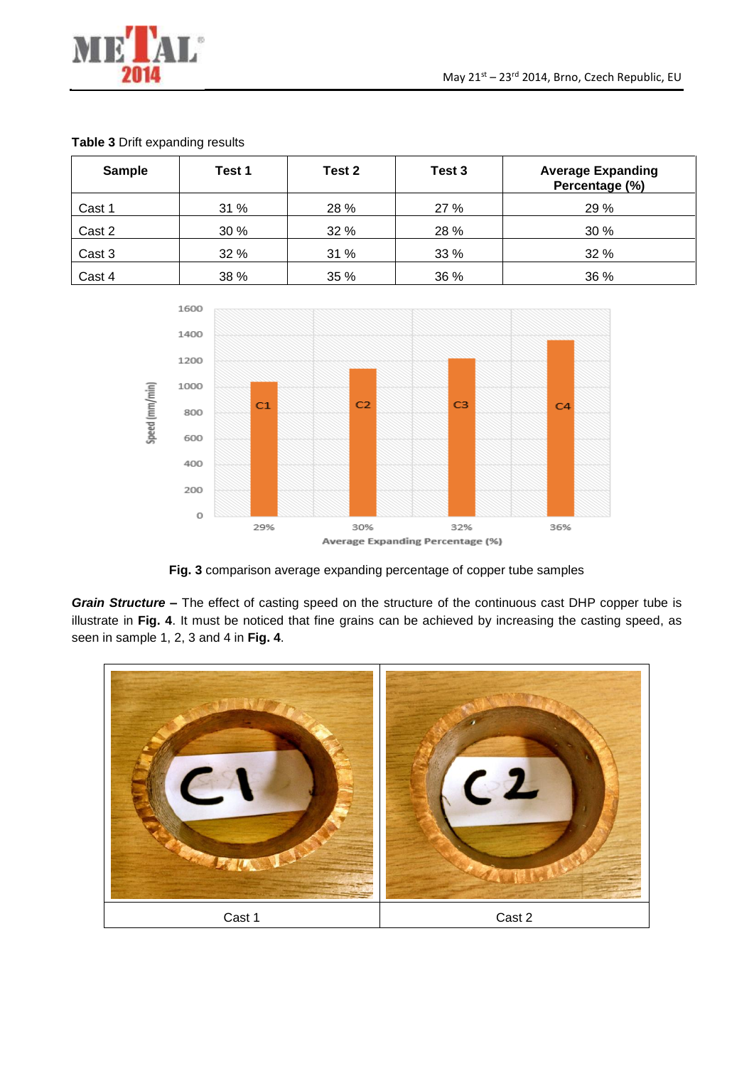

| <b>Sample</b> | Test 1 | Test 2 | Test 3 | <b>Average Expanding</b><br>Percentage (%) |
|---------------|--------|--------|--------|--------------------------------------------|
| Cast 1        | 31 %   | 28 %   | 27 %   | 29 %                                       |
| Cast 2        | 30 %   | 32 %   | 28 %   | 30 %                                       |
| Cast 3        | 32 %   | 31 %   | 33 %   | 32 %                                       |
| Cast 4        | 38 %   | 35 %   | 36 %   | 36 %                                       |

#### **Table 3** Drift expanding results



**Fig. 3** comparison average expanding percentage of copper tube samples

*Grain Structure –* The effect of casting speed on the structure of the continuous cast DHP copper tube is illustrate in **Fig. 4**. It must be noticed that fine grains can be achieved by increasing the casting speed, as seen in sample 1, 2, 3 and 4 in **Fig. 4**.

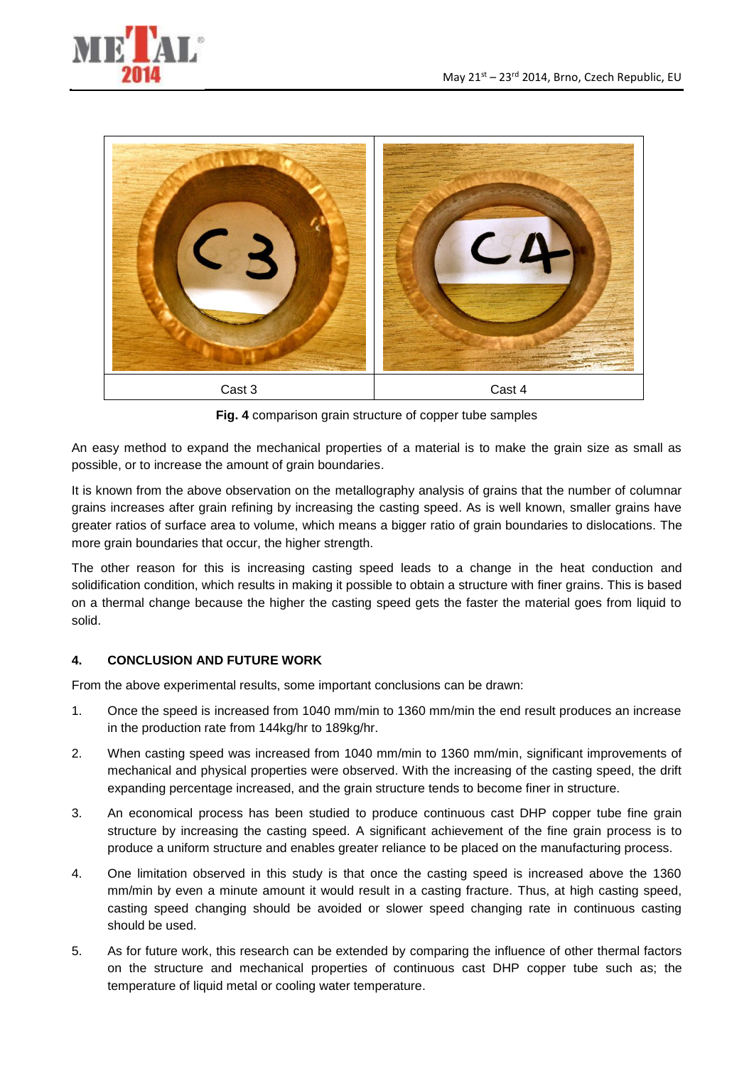



**Fig. 4** comparison grain structure of copper tube samples

An easy method to expand the mechanical properties of a material is to make the grain size as small as possible, or to increase the amount of grain boundaries.

It is known from the above observation on the metallography analysis of grains that the number of columnar grains increases after grain refining by increasing the casting speed. As is well known, smaller grains have greater ratios of surface area to volume, which means a bigger ratio of grain boundaries to dislocations. The more grain boundaries that occur, the higher strength.

The other reason for this is increasing casting speed leads to a change in the heat conduction and solidification condition, which results in making it possible to obtain a structure with finer grains. This is based on a thermal change because the higher the casting speed gets the faster the material goes from liquid to solid.

#### **4. CONCLUSION AND FUTURE WORK**

From the above experimental results, some important conclusions can be drawn:

- 1. Once the speed is increased from 1040 mm/min to 1360 mm/min the end result produces an increase in the production rate from 144kg/hr to 189kg/hr.
- 2. When casting speed was increased from 1040 mm/min to 1360 mm/min, significant improvements of mechanical and physical properties were observed. With the increasing of the casting speed, the drift expanding percentage increased, and the grain structure tends to become finer in structure.
- 3. An economical process has been studied to produce continuous cast DHP copper tube fine grain structure by increasing the casting speed. A significant achievement of the fine grain process is to produce a uniform structure and enables greater reliance to be placed on the manufacturing process.
- 4. One limitation observed in this study is that once the casting speed is increased above the 1360 mm/min by even a minute amount it would result in a casting fracture. Thus, at high casting speed, casting speed changing should be avoided or slower speed changing rate in continuous casting should be used.
- 5. As for future work, this research can be extended by comparing the influence of other thermal factors on the structure and mechanical properties of continuous cast DHP copper tube such as; the temperature of liquid metal or cooling water temperature.